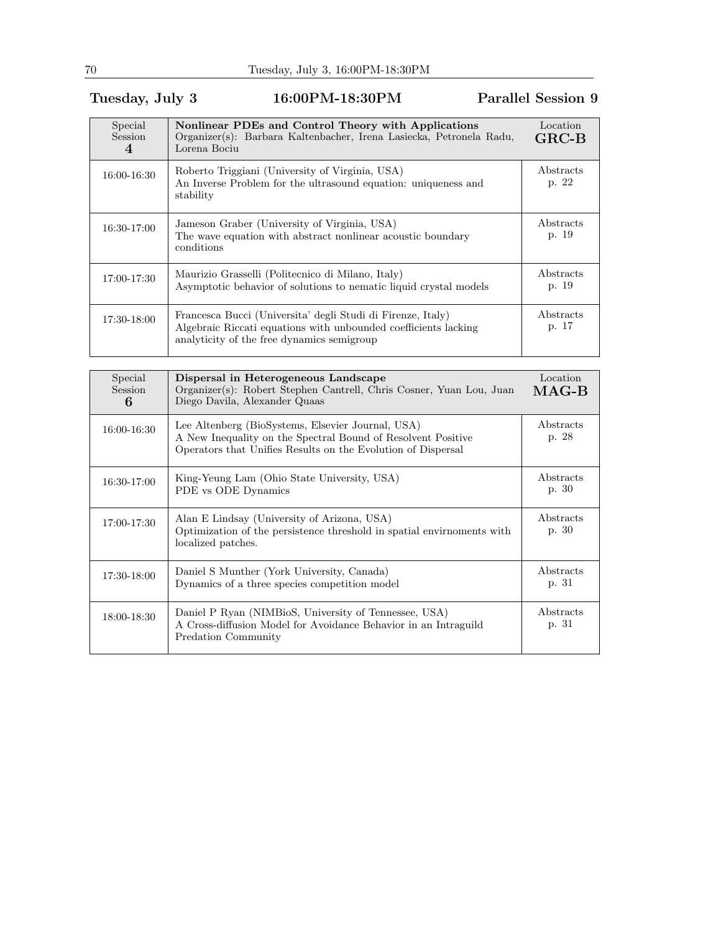## Tuesday, July 3 16:00PM-18:30PM Parallel Session 9

| Special<br>Session<br>4 | Nonlinear PDEs and Control Theory with Applications<br>Organizer(s): Barbara Kaltenbacher, Irena Lasiecka, Petronela Radu,<br>Lorena Bociu                                   | Location<br>$GRC-B$ |
|-------------------------|------------------------------------------------------------------------------------------------------------------------------------------------------------------------------|---------------------|
| 16:00-16:30             | Roberto Triggiani (University of Virginia, USA)<br>An Inverse Problem for the ultrasound equation: uniqueness and<br>stability                                               | Abstracts<br>p. 22  |
| 16:30-17:00             | Jameson Graber (University of Virginia, USA)<br>The wave equation with abstract nonlinear acoustic boundary<br>conditions                                                    | Abstracts<br>p. 19  |
| 17:00-17:30             | Maurizio Grasselli (Politecnico di Milano, Italy)<br>Asymptotic behavior of solutions to nematic liquid crystal models                                                       | Abstracts<br>p. 19  |
| 17:30-18:00             | Francesca Bucci (Universita' degli Studi di Firenze, Italy)<br>Algebraic Riccati equations with unbounded coefficients lacking<br>analyticity of the free dynamics semigroup | Abstracts<br>p. 17  |

| Special<br>Session<br>6 | Dispersal in Heterogeneous Landscape<br>Organizer(s): Robert Stephen Cantrell, Chris Cosner, Yuan Lou, Juan<br>Diego Davila, Alexander Quaas                                      | Location<br>$\rm MAG-B$   |
|-------------------------|-----------------------------------------------------------------------------------------------------------------------------------------------------------------------------------|---------------------------|
| 16:00-16:30             | Lee Altenberg (BioSystems, Elsevier Journal, USA)<br>A New Inequality on the Spectral Bound of Resolvent Positive<br>Operators that Unifies Results on the Evolution of Dispersal | Abstracts<br>p. 28        |
| 16:30-17:00             | King-Yeung Lam (Ohio State University, USA)<br>PDE vs ODE Dynamics                                                                                                                | Abstracts<br>p. 30        |
| 17:00-17:30             | Alan E Lindsay (University of Arizona, USA)<br>Optimization of the persistence threshold in spatial environments with<br>localized patches.                                       | Abstracts<br>p. 30        |
| 17:30-18:00             | Daniel S Munther (York University, Canada)<br>Dynamics of a three species competition model                                                                                       | <i>Abstracts</i><br>p. 31 |
| 18:00-18:30             | Daniel P Ryan (NIMBioS, University of Tennessee, USA)<br>A Cross-diffusion Model for Avoidance Behavior in an Intraguild<br>Predation Community                                   | Abstracts<br>p. 31        |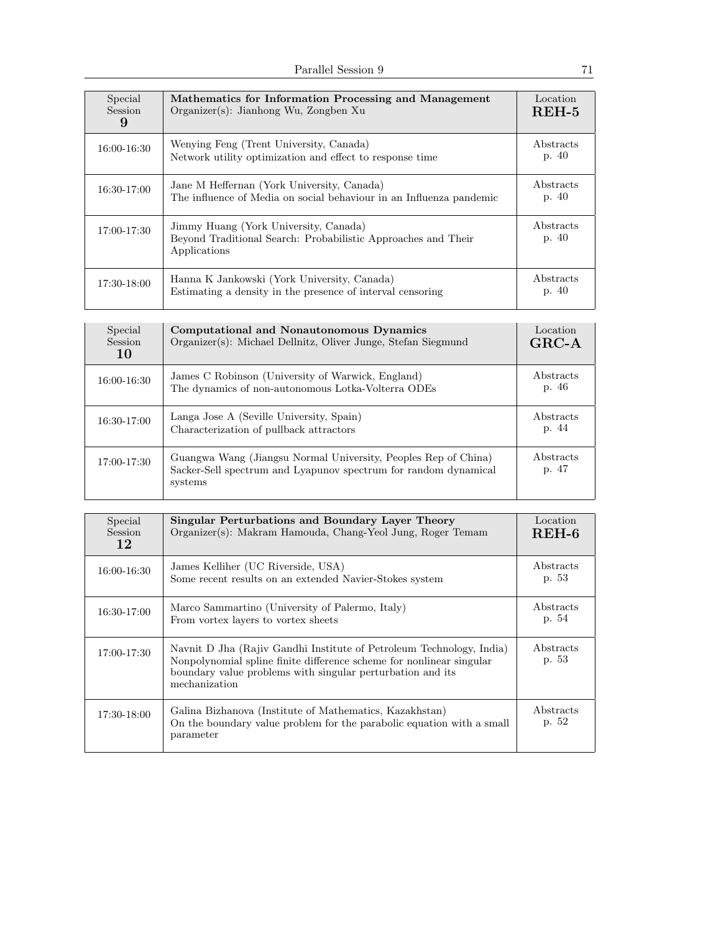| Special<br>Session<br>9 | Mathematics for Information Processing and Management<br>$Organizer(s)$ : Jianhong Wu, Zongben Xu                      | Location<br>$REH-5$ |
|-------------------------|------------------------------------------------------------------------------------------------------------------------|---------------------|
| 16:00-16:30             | Wenying Feng (Trent University, Canada)<br>Network utility optimization and effect to response time                    | Abstracts<br>p. 40  |
| 16:30-17:00             | Jane M Heffernan (York University, Canada)<br>The influence of Media on social behaviour in an Influenza pandemic      | Abstracts<br>p. 40  |
| 17:00-17:30             | Jimmy Huang (York University, Canada)<br>Beyond Traditional Search: Probabilistic Approaches and Their<br>Applications | Abstracts<br>p. 40  |
| 17:30-18:00             | Hanna K Jankowski (York University, Canada)<br>Estimating a density in the presence of interval censoring              | Abstracts<br>p. 40  |

| Special<br>Session<br>10 | Computational and Nonautonomous Dynamics<br>Organizer(s): Michael Dellnitz, Oliver Junge, Stefan Siegmund                                    | Location<br>$GRC-A$ |
|--------------------------|----------------------------------------------------------------------------------------------------------------------------------------------|---------------------|
| 16:00-16:30              | James C Robinson (University of Warwick, England)<br>The dynamics of non-autonomous Lotka-Volterra ODEs                                      | Abstracts<br>p. 46  |
| 16:30-17:00              | Langa Jose A (Seville University, Spain)<br>Characterization of pullback attractors                                                          | Abstracts<br>p. 44  |
| 17:00-17:30              | Guangwa Wang (Jiangsu Normal University, Peoples Rep of China)<br>Sacker-Sell spectrum and Lyapunov spectrum for random dynamical<br>systems | Abstracts<br>p. 47  |

| Special<br><b>Session</b><br>12 | Singular Perturbations and Boundary Layer Theory<br>Organizer(s): Makram Hamouda, Chang-Yeol Jung, Roger Temam                                                                                                              | Location<br>$REH-6$ |
|---------------------------------|-----------------------------------------------------------------------------------------------------------------------------------------------------------------------------------------------------------------------------|---------------------|
| 16:00-16:30                     | James Kelliher (UC Riverside, USA)<br>Some recent results on an extended Navier-Stokes system                                                                                                                               | Abstracts<br>p. 53  |
| 16:30-17:00                     | Marco Sammartino (University of Palermo, Italy)<br>From vortex layers to vortex sheets                                                                                                                                      | Abstracts<br>p. 54  |
| 17:00-17:30                     | Navnit D Jha (Rajiv Gandhi Institute of Petroleum Technology, India)<br>Nonpolynomial spline finite difference scheme for nonlinear singular<br>boundary value problems with singular perturbation and its<br>mechanization | Abstracts<br>p. 53  |
| 17:30-18:00                     | Galina Bizhanova (Institute of Mathematics, Kazakhstan)<br>On the boundary value problem for the parabolic equation with a small<br>parameter                                                                               | Abstracts<br>p. 52  |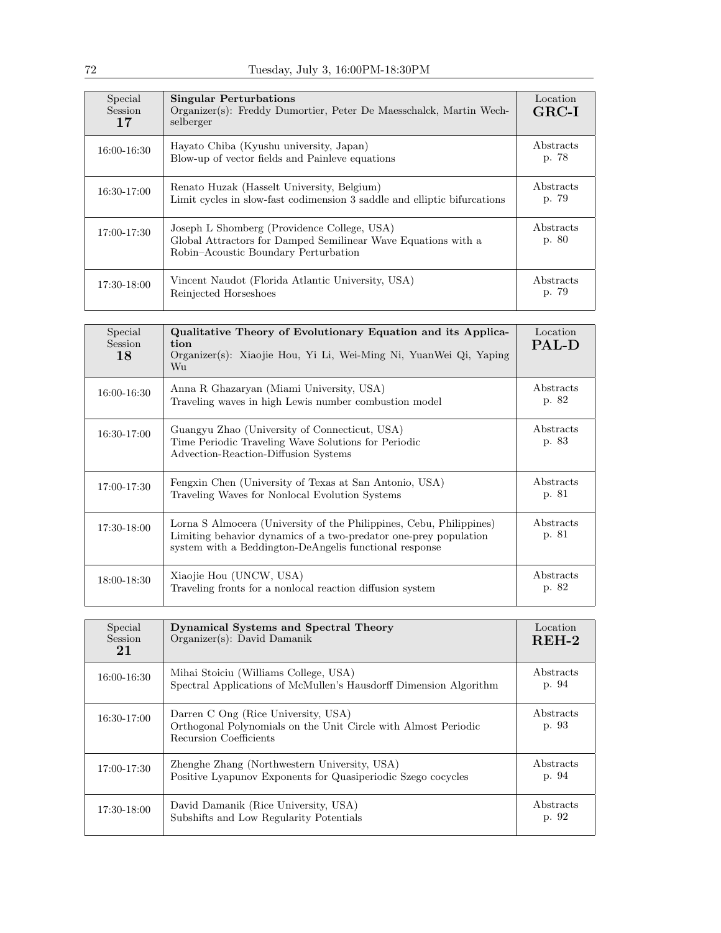| Special<br><b>Session</b><br>17 | <b>Singular Perturbations</b><br>Organizer(s): Freddy Dumortier, Peter De Maesschalck, Martin Wech-<br>selberger                                     | Location<br>$GRC-I$ |
|---------------------------------|------------------------------------------------------------------------------------------------------------------------------------------------------|---------------------|
| 16:00-16:30                     | Hayato Chiba (Kyushu university, Japan)<br>Blow-up of vector fields and Painleve equations                                                           | Abstracts<br>p. 78  |
| $16:30-17:00$                   | Renato Huzak (Hasselt University, Belgium)<br>Limit cycles in slow-fast codimension 3 saddle and elliptic bifurcations                               | Abstracts<br>p. 79  |
| $17:00 - 17:30$                 | Joseph L Shomberg (Providence College, USA)<br>Global Attractors for Damped Semilinear Wave Equations with a<br>Robin-Acoustic Boundary Perturbation | Abstracts<br>p. 80  |
| 17:30-18:00                     | Vincent Naudot (Florida Atlantic University, USA)<br>Reinjected Horseshoes                                                                           | Abstracts<br>p. 79  |

| Special<br>Session<br>18 | Qualitative Theory of Evolutionary Equation and its Applica-<br>tion<br>Organizer(s): Xiaojie Hou, Yi Li, Wei-Ming Ni, YuanWei Qi, Yaping<br>$W_{11}$                                             | Location<br><b>PAL-D</b> |
|--------------------------|---------------------------------------------------------------------------------------------------------------------------------------------------------------------------------------------------|--------------------------|
| 16:00-16:30              | Anna R Ghazaryan (Miami University, USA)<br>Traveling waves in high Lewis number combustion model                                                                                                 | Abstracts<br>p. 82       |
| 16:30-17:00              | Guangyu Zhao (University of Connecticut, USA)<br>Time Periodic Traveling Wave Solutions for Periodic<br>Advection-Reaction-Diffusion Systems                                                      | Abstracts<br>p. 83       |
| 17:00-17:30              | Fengxin Chen (University of Texas at San Antonio, USA)<br>Traveling Waves for Nonlocal Evolution Systems                                                                                          | Abstracts<br>p. 81       |
| 17:30-18:00              | Lorna S Almocera (University of the Philippines, Cebu, Philippines)<br>Limiting behavior dynamics of a two-predator one-prey population<br>system with a Beddington-DeAngelis functional response | Abstracts<br>p. 81       |
| 18:00-18:30              | Xiaojie Hou (UNCW, USA)<br>Traveling fronts for a nonlocal reaction diffusion system                                                                                                              | Abstracts<br>p. 82       |

| Special<br><b>Session</b><br>21 | Dynamical Systems and Spectral Theory<br>Organizer(s): David Damanik                                                            | Location<br>$REH-2$ |
|---------------------------------|---------------------------------------------------------------------------------------------------------------------------------|---------------------|
| 16:00-16:30                     | Mihai Stoiciu (Williams College, USA)<br>Spectral Applications of McMullen's Hausdorff Dimension Algorithm                      | Abstracts<br>p. 94  |
| 16:30-17:00                     | Darren C Ong (Rice University, USA)<br>Orthogonal Polynomials on the Unit Circle with Almost Periodic<br>Recursion Coefficients | Abstracts<br>p. 93  |
| 17:00-17:30                     | Zhenghe Zhang (Northwestern University, USA)<br>Positive Lyapunov Exponents for Quasiperiodic Szego cocycles                    | Abstracts<br>p. 94  |
| 17:30-18:00                     | David Damanik (Rice University, USA)<br>Subshifts and Low Regularity Potentials                                                 | Abstracts<br>p. 92  |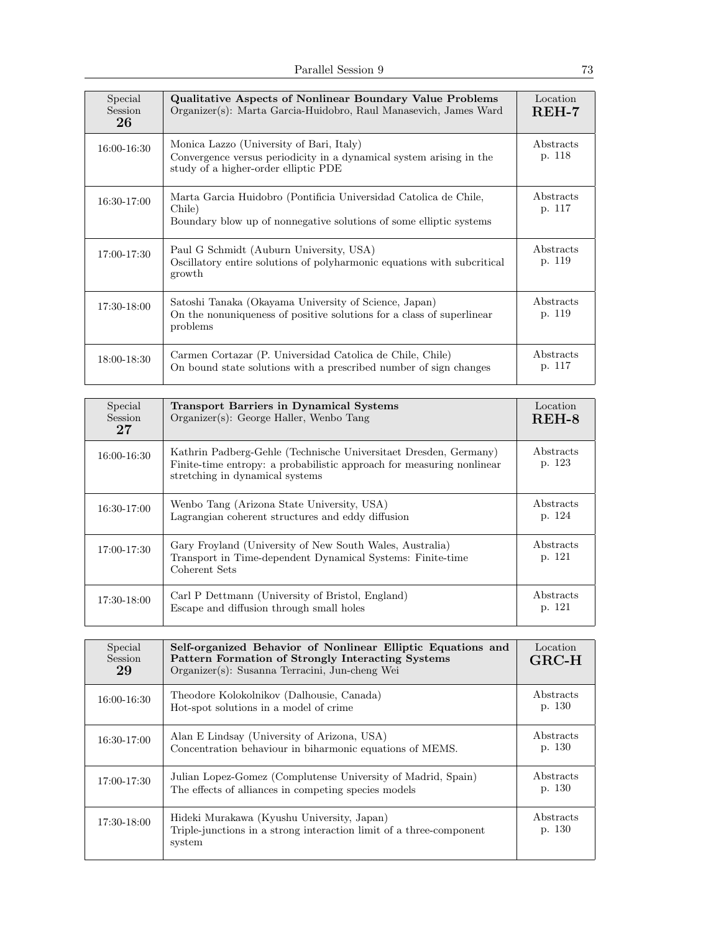| Special<br><b>Session</b><br>26 | <b>Qualitative Aspects of Nonlinear Boundary Value Problems</b><br>Organizer(s): Marta Garcia-Huidobro, Raul Manasevich, James Ward                     | Location<br>$REH-7$ |
|---------------------------------|---------------------------------------------------------------------------------------------------------------------------------------------------------|---------------------|
| 16:00-16:30                     | Monica Lazzo (University of Bari, Italy)<br>Convergence versus periodicity in a dynamical system arising in the<br>study of a higher-order elliptic PDE | Abstracts<br>p. 118 |
| 16:30-17:00                     | Marta Garcia Huidobro (Pontificia Universidad Catolica de Chile,<br>Chile)<br>Boundary blow up of nonnegative solutions of some elliptic systems        | Abstracts<br>p. 117 |
| 17:00-17:30                     | Paul G Schmidt (Auburn University, USA)<br>Oscillatory entire solutions of polyharmonic equations with subcritical<br>growth                            | Abstracts<br>p. 119 |
| 17:30-18:00                     | Satoshi Tanaka (Okayama University of Science, Japan)<br>On the nonuniqueness of positive solutions for a class of superlinear<br>problems              | Abstracts<br>p. 119 |
| 18:00-18:30                     | Carmen Cortazar (P. Universidad Catolica de Chile, Chile)<br>On bound state solutions with a prescribed number of sign changes                          | Abstracts<br>p. 117 |

| Special<br><b>Session</b><br>27 | <b>Transport Barriers in Dynamical Systems</b><br>Organizer(s): George Haller, Wenbo Tang                                                                                    | Location<br>$REH-8$ |
|---------------------------------|------------------------------------------------------------------------------------------------------------------------------------------------------------------------------|---------------------|
| 16:00-16:30                     | Kathrin Padberg-Gehle (Technische Universitaet Dresden, Germany)<br>Finite-time entropy: a probabilistic approach for measuring nonlinear<br>stretching in dynamical systems | Abstracts<br>p. 123 |
| 16:30-17:00                     | Wenbo Tang (Arizona State University, USA)<br>Lagrangian coherent structures and eddy diffusion                                                                              | Abstracts<br>p. 124 |
| 17:00-17:30                     | Gary Froyland (University of New South Wales, Australia)<br>Transport in Time-dependent Dynamical Systems: Finite-time<br>Coherent Sets                                      | Abstracts<br>p. 121 |
| 17:30-18:00                     | Carl P Dettmann (University of Bristol, England)<br>Escape and diffusion through small holes                                                                                 | Abstracts<br>p. 121 |

| Special<br>Session<br>29 | Self-organized Behavior of Nonlinear Elliptic Equations and<br>Pattern Formation of Strongly Interacting Systems<br>Organizer(s): Susanna Terracini, Jun-cheng Wei | Location<br>$GRC-H$ |
|--------------------------|--------------------------------------------------------------------------------------------------------------------------------------------------------------------|---------------------|
| 16:00-16:30              | Theodore Kolokolnikov (Dalhousie, Canada)<br>Hot-spot solutions in a model of crime                                                                                | Abstracts<br>p. 130 |
| 16:30-17:00              | Alan E Lindsay (University of Arizona, USA)<br>Concentration behaviour in biharmonic equations of MEMS.                                                            | Abstracts<br>p. 130 |
| 17:00-17:30              | Julian Lopez-Gomez (Complutense University of Madrid, Spain)<br>The effects of alliances in competing species models                                               | Abstracts<br>p. 130 |
| 17:30-18:00              | Hideki Murakawa (Kyushu University, Japan)<br>Triple-junctions in a strong interaction limit of a three-component<br>system                                        | Abstracts<br>p. 130 |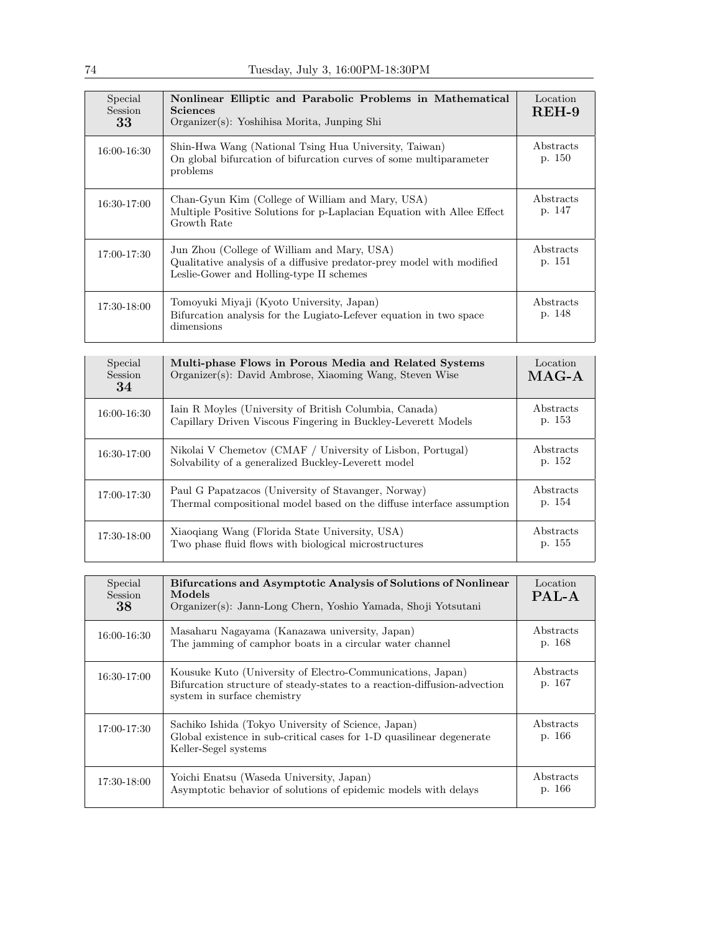| Special<br><b>Session</b><br>33 | Nonlinear Elliptic and Parabolic Problems in Mathematical<br>Sciences<br>Organizer(s): Yoshihisa Morita, Junping Shi                                             | Location<br>$REH-9$ |
|---------------------------------|------------------------------------------------------------------------------------------------------------------------------------------------------------------|---------------------|
| 16:00-16:30                     | Shin-Hwa Wang (National Tsing Hua University, Taiwan)<br>On global bifurcation of bifurcation curves of some multiparameter<br>problems                          | Abstracts<br>p. 150 |
| $16:30-17:00$                   | Chan-Gyun Kim (College of William and Mary, USA)<br>Multiple Positive Solutions for p-Laplacian Equation with Allee Effect<br>Growth Rate                        | Abstracts<br>p. 147 |
| 17:00-17:30                     | Jun Zhou (College of William and Mary, USA)<br>Qualitative analysis of a diffusive predator-prey model with modified<br>Leslie-Gower and Holling-type II schemes | Abstracts<br>p. 151 |
| 17:30-18:00                     | Tomoyuki Miyaji (Kyoto University, Japan)<br>Bifurcation analysis for the Lugiato-Lefever equation in two space<br>dimensions                                    | Abstracts<br>p. 148 |

| Special<br>Session<br>34 | Multi-phase Flows in Porous Media and Related Systems<br>Organizer(s): David Ambrose, Xiaoming Wang, Steven Wise             | Location<br>$MAG-A$ |
|--------------------------|------------------------------------------------------------------------------------------------------------------------------|---------------------|
| 16:00-16:30              | Iain R Moyles (University of British Columbia, Canada)<br>Capillary Driven Viscous Fingering in Buckley-Leverett Models      | Abstracts<br>p. 153 |
| 16:30-17:00              | Nikolai V Chemetov (CMAF / University of Lisbon, Portugal)<br>Solvability of a generalized Buckley-Leverett model            | Abstracts<br>p. 152 |
| 17:00-17:30              | Paul G Papatzacos (University of Stavanger, Norway)<br>Thermal compositional model based on the diffuse interface assumption | Abstracts<br>p. 154 |
| 17:30-18:00              | Xiaoqiang Wang (Florida State University, USA)<br>Two phase fluid flows with biological microstructures                      | Abstracts<br>p. 155 |

| Special<br><b>Session</b><br>38 | Bifurcations and Asymptotic Analysis of Solutions of Nonlinear<br>Models<br>Organizer(s): Jann-Long Chern, Yoshio Yamada, Shoji Yotsutani                             | Location<br>PAL-A   |
|---------------------------------|-----------------------------------------------------------------------------------------------------------------------------------------------------------------------|---------------------|
| 16:00-16:30                     | Masaharu Nagayama (Kanazawa university, Japan)<br>The jamming of camphor boats in a circular water channel                                                            | Abstracts<br>p. 168 |
| 16:30-17:00                     | Kousuke Kuto (University of Electro-Communications, Japan)<br>Bifurcation structure of steady-states to a reaction-diffusion-advection<br>system in surface chemistry | Abstracts<br>p. 167 |
| 17:00-17:30                     | Sachiko Ishida (Tokyo University of Science, Japan)<br>Global existence in sub-critical cases for 1-D quasilinear degenerate<br>Keller-Segel systems                  | Abstracts<br>p. 166 |
| 17:30-18:00                     | Yoichi Enatsu (Waseda University, Japan)<br>Asymptotic behavior of solutions of epidemic models with delays                                                           | Abstracts<br>p. 166 |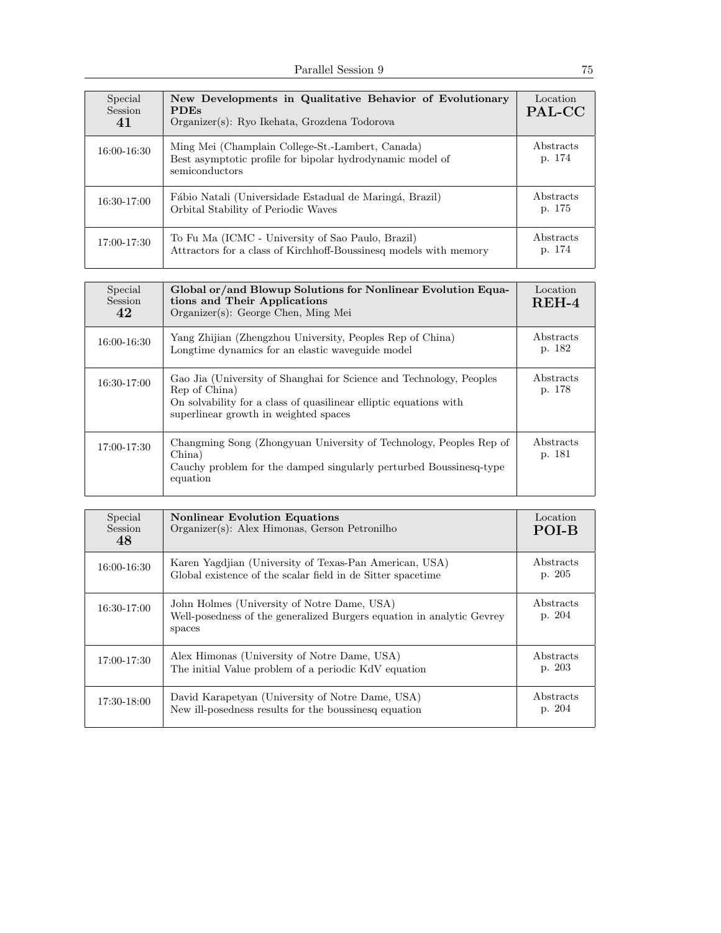| Special<br>Session<br>41 | New Developments in Qualitative Behavior of Evolutionary<br><b>PDEs</b><br>Organizer(s): Ryo Ikehata, Grozdena Todorova         | Location<br>PAL-CC  |
|--------------------------|---------------------------------------------------------------------------------------------------------------------------------|---------------------|
| 16:00-16:30              | Ming Mei (Champlain College-St.-Lambert, Canada)<br>Best asymptotic profile for bipolar hydrodynamic model of<br>semiconductors | Abstracts<br>p. 174 |
| 16:30-17:00              | Fábio Natali (Universidade Estadual de Maringá, Brazil)<br>Orbital Stability of Periodic Waves                                  | Abstracts<br>p. 175 |
| 17:00-17:30              | To Fu Ma (ICMC - University of Sao Paulo, Brazil)<br>Attractors for a class of Kirchhoff-Boussinesq models with memory          | Abstracts<br>p. 174 |

| Special<br><b>Session</b><br>42 | Global or/and Blowup Solutions for Nonlinear Evolution Equa-<br>tions and Their Applications<br>Organizer(s): George Chen, Ming Mei                                                                | Location<br>$REH-4$ |
|---------------------------------|----------------------------------------------------------------------------------------------------------------------------------------------------------------------------------------------------|---------------------|
| 16:00-16:30                     | Yang Zhijian (Zhengzhou University, Peoples Rep of China)<br>Longtime dynamics for an elastic waveguide model                                                                                      | Abstracts<br>p. 182 |
| 16:30-17:00                     | Gao Jia (University of Shanghai for Science and Technology, Peoples<br>Rep of China)<br>On solvability for a class of quasilinear elliptic equations with<br>superlinear growth in weighted spaces | Abstracts<br>p. 178 |
| 17:00-17:30                     | Changming Song (Zhongyuan University of Technology, Peoples Rep of<br>China)<br>Cauchy problem for the damped singularly perturbed Boussinesq-type<br>equation                                     | Abstracts<br>p. 181 |

| Special<br><b>Session</b><br>48 | <b>Nonlinear Evolution Equations</b><br>Organizer(s): Alex Himonas, Gerson Petronilho                                          | Location<br>POI-B   |
|---------------------------------|--------------------------------------------------------------------------------------------------------------------------------|---------------------|
| 16:00-16:30                     | Karen Yagdiian (University of Texas-Pan American, USA)<br>Global existence of the scalar field in de Sitter spacetime          | Abstracts<br>p. 205 |
| $16:30-17:00$                   | John Holmes (University of Notre Dame, USA)<br>Well-posedness of the generalized Burgers equation in analytic Gevrey<br>spaces | Abstracts<br>p. 204 |
| 17:00-17:30                     | Alex Himonas (University of Notre Dame, USA)<br>The initial Value problem of a periodic KdV equation                           | Abstracts<br>p. 203 |
| 17:30-18:00                     | David Karapetyan (University of Notre Dame, USA)<br>New ill-posedness results for the boussines equation                       | Abstracts<br>p. 204 |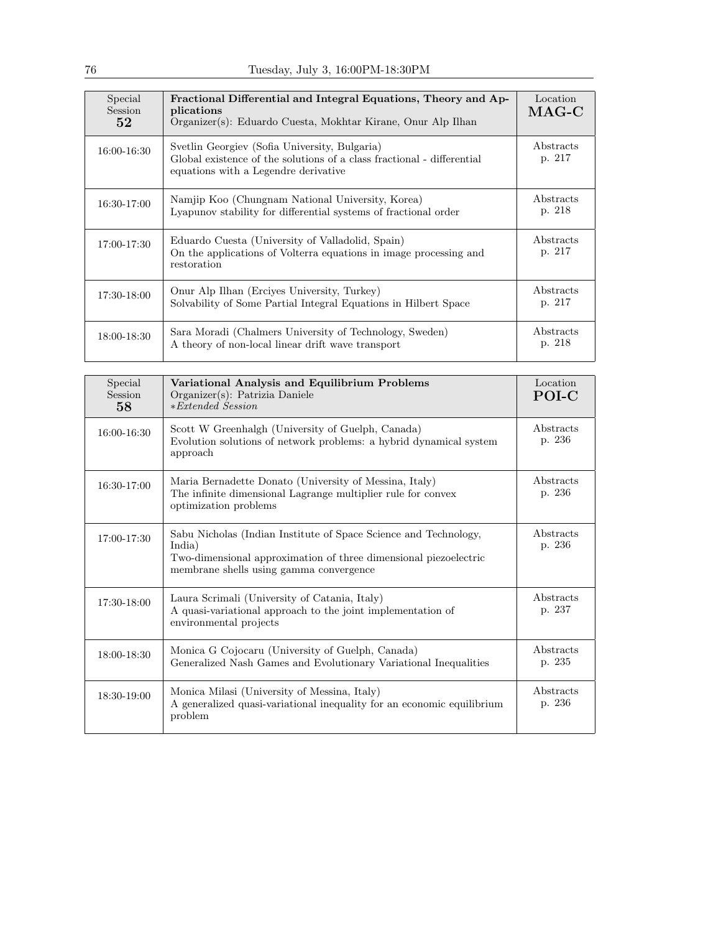| Special<br>Session<br>52 <sub>1</sub> | Fractional Differential and Integral Equations, Theory and Ap-<br>plications<br>Organizer(s): Eduardo Cuesta, Mokhtar Kirane, Onur Alp Ilhan                    | Location<br>$\rm MAG\text{-}C$ |
|---------------------------------------|-----------------------------------------------------------------------------------------------------------------------------------------------------------------|--------------------------------|
| 16:00-16:30                           | Svetlin Georgiev (Sofia University, Bulgaria)<br>Global existence of the solutions of a class fractional - differential<br>equations with a Legendre derivative | Abstracts<br>p. 217            |
| 16:30-17:00                           | Namjip Koo (Chungnam National University, Korea)<br>Lyapunov stability for differential systems of fractional order                                             | Abstracts<br>p. 218            |
| 17:00-17:30                           | Eduardo Cuesta (University of Valladolid, Spain)<br>On the applications of Volterra equations in image processing and<br>restoration                            | Abstracts<br>p. 217            |
| 17:30-18:00                           | Onur Alp Ilhan (Ercives University, Turkey)<br>Solvability of Some Partial Integral Equations in Hilbert Space                                                  | Abstracts<br>p. 217            |
| 18:00-18:30                           | Sara Moradi (Chalmers University of Technology, Sweden)<br>A theory of non-local linear drift wave transport                                                    | Abstracts<br>p. 218            |

| Special<br>Session<br>58 | Variational Analysis and Equilibrium Problems<br>Organizer(s): Patrizia Daniele<br>$*Extended Session$                                                                                    | Location<br><b>POI-C</b> |
|--------------------------|-------------------------------------------------------------------------------------------------------------------------------------------------------------------------------------------|--------------------------|
| 16:00-16:30              | Scott W Greenhalgh (University of Guelph, Canada)<br>Evolution solutions of network problems: a hybrid dynamical system<br>approach                                                       | Abstracts<br>p. 236      |
| 16:30-17:00              | Maria Bernadette Donato (University of Messina, Italy)<br>The infinite dimensional Lagrange multiplier rule for convex<br>optimization problems                                           | Abstracts<br>p. 236      |
| 17:00-17:30              | Sabu Nicholas (Indian Institute of Space Science and Technology,<br>India)<br>Two-dimensional approximation of three dimensional piezoelectric<br>membrane shells using gamma convergence | Abstracts<br>p. 236      |
| $17:30-18:00$            | Laura Scrimali (University of Catania, Italy)<br>A quasi-variational approach to the joint implementation of<br>environmental projects                                                    | Abstracts<br>p. 237      |
| 18:00-18:30              | Monica G Cojocaru (University of Guelph, Canada)<br>Generalized Nash Games and Evolutionary Variational Inequalities                                                                      | Abstracts<br>p. 235      |
| $18:30-19:00$            | Monica Milasi (University of Messina, Italy)<br>A generalized quasi-variational inequality for an economic equilibrium<br>problem                                                         | Abstracts<br>p. 236      |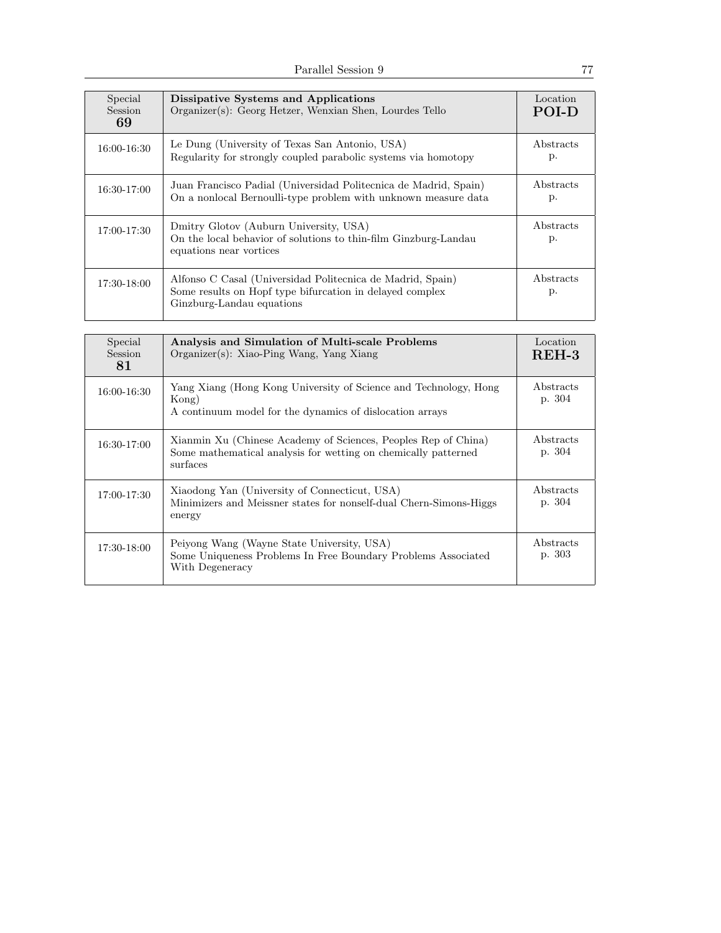| Special<br><b>Session</b><br>69 | Dissipative Systems and Applications<br>Organizer(s): Georg Hetzer, Wenxian Shen, Lourdes Tello                                                     | Location<br><b>POLD</b> |
|---------------------------------|-----------------------------------------------------------------------------------------------------------------------------------------------------|-------------------------|
| 16:00-16:30                     | Le Dung (University of Texas San Antonio, USA)<br>Regularity for strongly coupled parabolic systems via homotopy                                    | Abstracts<br>р.         |
| 16:30-17:00                     | Juan Francisco Padial (Universidad Politecnica de Madrid, Spain)<br>On a nonlocal Bernoulli-type problem with unknown measure data                  | Abstracts<br>p.         |
| 17:00-17:30                     | Dmitry Glotov (Auburn University, USA)<br>On the local behavior of solutions to thin-film Ginzburg-Landau<br>equations near vortices                | Abstracts<br>p.         |
| 17:30-18:00                     | Alfonso C Casal (Universidad Politecnica de Madrid, Spain)<br>Some results on Hopf type bifurcation in delayed complex<br>Ginzburg-Landau equations | Abstracts<br>p.         |

| Special<br><b>Session</b><br>81 | Analysis and Simulation of Multi-scale Problems<br>Organizer(s): Xiao-Ping Wang, Yang Xiang                                                  | Location<br>REH-3          |
|---------------------------------|----------------------------------------------------------------------------------------------------------------------------------------------|----------------------------|
| $16:00 - 16:30$                 | Yang Xiang (Hong Kong University of Science and Technology, Hong<br>Kong)<br>A continuum model for the dynamics of dislocation arrays        | Abstracts<br>p. 304        |
| 16:30-17:00                     | Xianmin Xu (Chinese Academy of Sciences, Peoples Rep of China)<br>Some mathematical analysis for wetting on chemically patterned<br>surfaces | Abstracts<br>p. 304        |
| 17:00-17:30                     | Xiaodong Yan (University of Connecticut, USA)<br>Minimizers and Meissner states for nonself-dual Chern-Simons-Higgs<br>energy                | <i>Abstracts</i><br>p. 304 |
| 17:30-18:00                     | Peiyong Wang (Wayne State University, USA)<br>Some Uniqueness Problems In Free Boundary Problems Associated<br>With Degeneracy               | Abstracts<br>p. 303        |